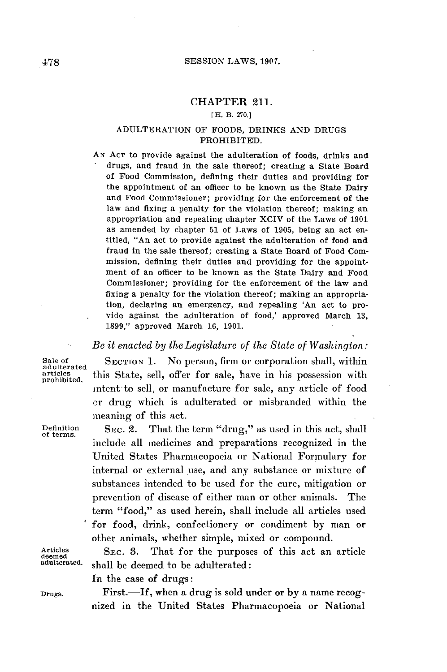## CHAPTER 211.

## [H. B. **270.]**

## ADULTERATION OF **FOODS,** DRINKS **AND DRUGS** PROHIBITED.

**AN ACT** to provide against the adulteration of foods, drinks and drugs, and fraud in the sale thereof; creating a State Board of Food Commission, defining their duties and providing for the appointment of an officer to be known as the State Dairy and Food Commissioner; providing for the enforcement of the law and fixing a penalty for the violation thereof; making an appropriation and repealing chapter XCIV of the Laws of **1901** as amended **by** chapter **51** of Laws of **1905,** being an act entitled, "An act to provide against the adulteration of food and fraud in the sale thereof; creating a State Board of Food Commission, defining their duties and providing for the appointment of an officer to be known as the State Dairy and Food Commissioner; providing for the enforcement of the law and fixing a penalty for the violation thereof; making an appropriation, declaring an emergency, and repealing 'An act to provide against the adulteration of food,' approved March **13, 1899,"** approved March **16, 1901.**

## *Be it enacted by theLegislature of the State of Washington:*

Sale of **SECTION 1.** No person, firm or corporation shall, within adulterated this State sell offer for sale have in his possession with articles this State, sell, offer for sale, have in his possession with intent to sell, or manufacture for sale, any article of food or drug which is adulterated or misbranded within the meaning of this act.

Definition SEC. 2. That the term "drug," as used in this act, shall **of** terms. include all medicines and preparations recognized in the United States Pharmacopoeia or National Formulary for internal or external use, and any substance or mixture of substances intended to be used for the cure, mitigation or prevention of disease of either man or other animals. The term "food," as used herein, shall include all articles used for food, drink, confectionery or condiment **by** man or other animals, whether simple, mixed or compound.

Articles SEC. 3. That for the purposes of this act an article deemed<br>deemed<br>adulterated. shall be deemed to be adulterated. shall be deemed to be adulterated:

In the case of drugs:

Drugs. First.-If, when a drug is sold under or **by** a name recognized in the United States Pharmacopoeia or National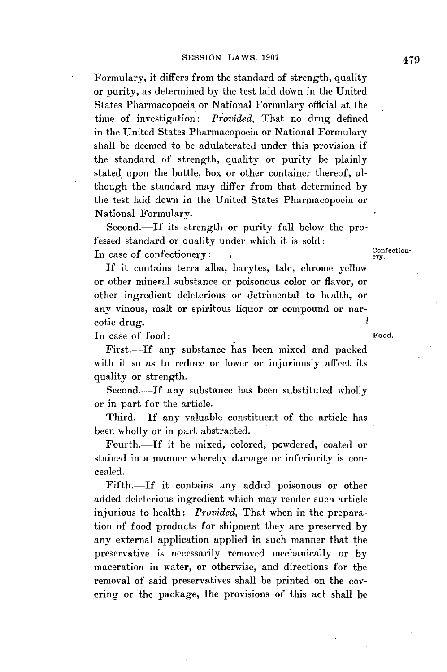Formulary, it differs from the standard of strength, quality or purity, as determined **by** the test laid down in the United States Pharmacopoeia or National Formulary official at the time of investigation: *Provided,* That no drug defined in the United States Pharmacopoeia or National Formulary shall be deemed to be adulaterated under this provision if the standard of strength, quality or purity be plainly stated upon the bottle, box or other container thereof, although the standard may differ from that determined **by** the test laid down in the United States Pharmacopoeia or National Formulary.

Second.-If its strength or purity fall below the professed standard or quality under which it is sold: In case of confectionery: , Confectionery:

**If** it contains terra alba, barytes, talc, chrome yellow or other mineral substance or poisonous color or flavor, or other ingredient deleterious or detrimental to health, or any vinous, malt or spiritous liquor or compound or narcotic drug.

In case of food: Food.

First.-If any substance has been mixed and packed with it so as to reduce or lower or injuriously affect its quality or strength.

Second.-If any substance has been substituted wholly or in part for the article.

Third.-If any valuable constituent of the article has been wholly or in part abstracted.

Fourth.-If it be mixed, colored, powdered, coated or stained in a manner whereby damage or inferiority is concealed.

Fifth.-If it contains any added poisonous or other added deleterious ingredient which may render such article injurious to health: *Provided,* That when in the preparation of food products for shipment they are preserved **by** any external application applied in such manner that the preservative is necessarily removed mechanically or **by** maceration in water, or otherwise, and directions for the removal of said preservatives shall be printed on the covering or the package, the provisions of this act shall be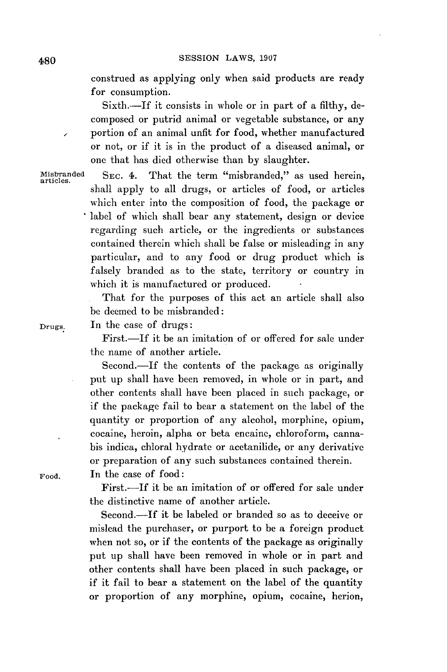construed as applying only when said products are ready for consumption.

Sixth.-If it consists in whole or in part of a filthy, decomposed or putrid animal or vegetable substance, or any portion of an animal unfit for food, whether manufactured or not, or if it is in the product of a diseased animal, or one that has died otherwise than **by** slaughter.

Misbranded SEC. 4. That the term "misbranded," as used herein, shall apply to all drugs, or articles of food, or articles which enter into the composition of food, the package or label of which shall bear any statement, design or device regarding such article, or the ingredients or substances contained therein which shall be false or misleading in any particular, and to any food or drug product which is falsely branded as to the state, territory or country in which it is manufactured or produced.

> That for the purposes of this act an article shall also be deemed to be misbranded:

Drugs. In the case of drugs:

First.—If it be an imitation of or offered for sale under the name of another article.

Second.-If the contents of the package as originally put up shall have been removed, in whole or in part, and other contents shall have been placed in such package, or if the package fail to bear a statement on the label of the quantity or proportion of any alcohol, morphine, opium, cocaine, heroin, alpha or beta encaine, chloroform, cannabis indica, chloral hydrate or acetanilide, or any derivative or preparation of any such substances contained therein.

Food. In the case of food:

First.—If it be an imitation of or offered for sale under the distinctive name of another article.

Second.-If it be labeled or branded so as to deceive or mislead the purchaser, or purport to be a foreign product when not so, or if the contents of the package as originally put up shall have been removed in whole or in part and other contents shall have been placed in such package, or if it fail to bear a statement on the label of the quantity or proportion of any morphine, opium, cocaine, herion,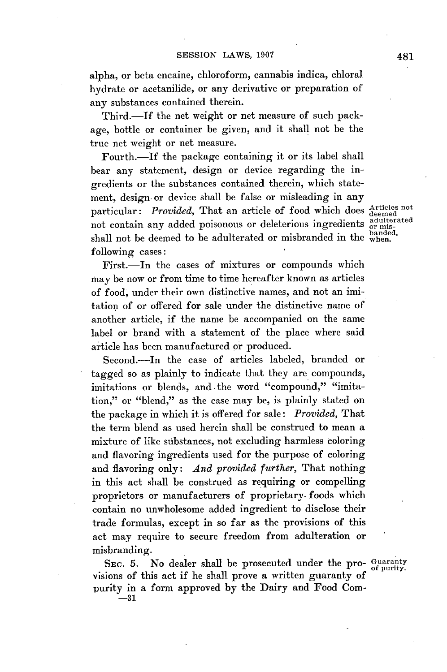alpha, or beta encaine, chloroform, cannabis indica, chloral hydrate or acetanilide, or any derivative or preparation of any substances contained therein.

Third.-If the net weight or net measure of such package, bottle or container **be** given, and it shall not be the true net weight or net measure.

Fourth.-If the package containing it or its label shall bear any statement, design or device regarding the ingredients or the substances contained therein, which statement, design or device shall be false or misleading in any particular: *Provided*, That an article of food which does Articles not not contain any added poisonous or deleterious ingredients adulterated shall not be deemed to be adulterated or misbranded in the  $_{\text{when}}^{\text{banded}}$ . following cases:

First.-In the cases of mixtures or compounds which may be now or from time to time hereafter known as articles of food, under their own distinctive names, and not an imitation of or offered for sale under the distinctive name of another article, if the name be accompanied on the same label or brand with a statement of the place where said article has been manufactured or produced.

Second.---In the case of articles labeled, branded or tagged so as plainly to indicate that they are compounds, imitations or blends, and the word "compound," "imitation," or "blend," as the case may be, is plainly stated on the package in which it is offered for sale: *Provided,* That the term blend as used herein shall be construed to mean a mixture of like substances, not excluding harmless coloring and flavoring ingredients used for the purpose of coloring and flavoring only: *And provided further,* That nothing in this act shall be construed as requiring or compelling proprietors or manufacturers of proprietary. foods which contain no unwholesome added ingredient to disclose their trade formulas, except in so far as the provisions of this act may require to secure freedom from adulteration or misbranding.

SEC. 5. No dealer shall be prosecuted under the pro- Guaranty visions of this act if he shall prove a written guaranty of purity in a form approved **by** the Dairy and Food Com- **-31**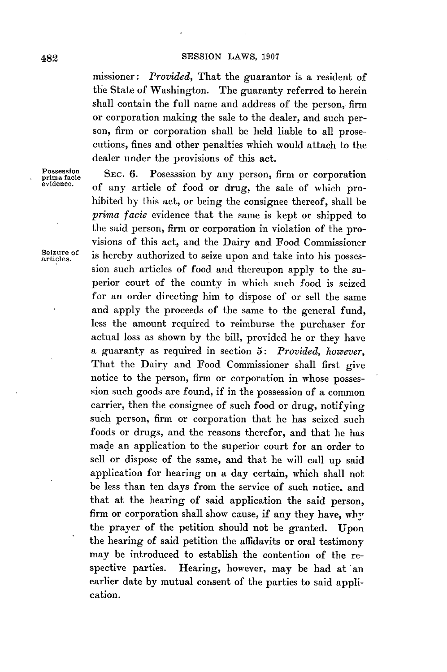missioner: *Provided,* That the guarantor is a resident of the State of Washington. The guaranty referred to herein shall contain the full name and address of the person, firm or corporation making the sale to the dealer, and such person, firm or corporation shall be held liable to all prosecutions, fines and other penalties which would attach to the dealer under the provisions of this act.

prima facie<br>evidence. **Possession** 

SEC. 6. Posesssion by any person, firm or corporation of any article of food or drug, the sale of which prohibited **by** this act, or being the consignee thereof, shall be *prima facie* evidence that the same is kept or shipped to the said person, firm or corporation in violation of the provisions of this act, and the Dairy and Food Commissioner Seizure of is hereby authorized to seize upon and take into his possession such articles of food and thereupon apply to the superior court of the county in which such food is seized for an order directing him to dispose of or sell the same and apply the proceeds of the same to the general fund, less the amount required to reimburse the purchaser for actual loss as shown **by** the bill, provided he or they have a guaranty as required in section **5:** *Provided, however,* That the Dairy and Food Commissioner shall first give notice to the person, firm or corporation in whose possession such goods are found, if in the possession of a common carrier, then the consignee of such food or drug, notifying **such** person, firm or corporation that he has seized such foods or drugs, and the reasons therefor, and that he has made an application to the superior court for an order to sell or dispose of the same, and that he will call up said application for hearing on a day certain, which shall not be less than ten days from the service of such notice. and that at the hearing of said application the said person, firm or corporation shall show cause, if any they have, why the prayer of the petition should not be granted. Upon the hearing of said petition the affidavits or oral testimony may be introduced to establish the contention of the respective parties. Hearing, however, may be had at an earlier date **by** mutual consent of the parties to said application.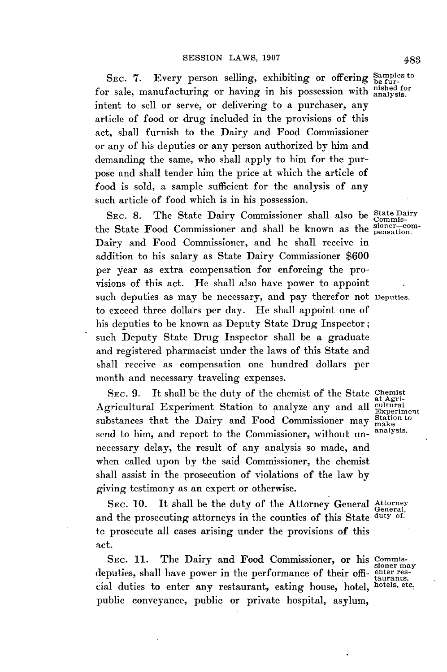SEC. 7. Every person selling, exhibiting or offering Samples to for sale, manufacturing or having in his possession with nished for intent to sell or serve, or delivering to a purchaser, any article of food or drug included in the provisions of this act, shall furnish to the Dairy and Food Commissioner or any of his deputies or any person authorized **by** him and demanding the same, who shall apply to him for the purpose and shall tender him the price at which the article of food is sold, a sample sufficient for the analysis of any such article of food which is in his possession.

SEC. 8. The State Dairy Commissioner shall also be State Dairy the State Food Commissioner and shall be known as the signer-com-Dairy and Food Commissioner, and he shall receive in addition to his salary as State Dairy Commissioner **\$600** per year as extra compensation for enforcing the provisions of this act. He shall also have power to appoint such deputies as may be necessary, and pay therefor not Deputies. to exceed three dollars per day. He shall appoint one of his deputies to be known as Deputy State Drug Inspector; such Deputy State Drug Inspector shall be a graduate and registered pharmacist under the laws of this State and shall receive as compensation one hundred dollars per month and necessary traveling expenses.

Src. **9.** It shall be the duty of the chemist of the State Chemist Agricultural Experiment Station to analyze any and all  $\frac{\text{arcsec}}{\text{Experimer}}$ substances that the Dairy and Food Commissioner may  $\frac{\text{Stab} \cdot \text{Stab}}{\text{mola}}$ send to him, and report to the Commissioner, without unnecessary delay, the result of any analysis so made, and when called upon **by** the said Commissioner, the chemist shall assist in the prosecution of violations of the law **by** giving testimony as an expert or otherwise.

SEC. 10. It shall be the duty of the Attorney General Attorney and the prosecuting attorneys in the counties of this State duty of. to prosecute all cases arising under the provisions of this act.

SEC. 11. The Dairy and Food Commissioner, or his Commissloner may deputies, shall have power in the performance of their **offi-** enter res- .taurants, cial duties to enter any restaurant, eating house, hotel, hotels, etc. public conveyance, public or private hospital, asylum,

make<br>analysis.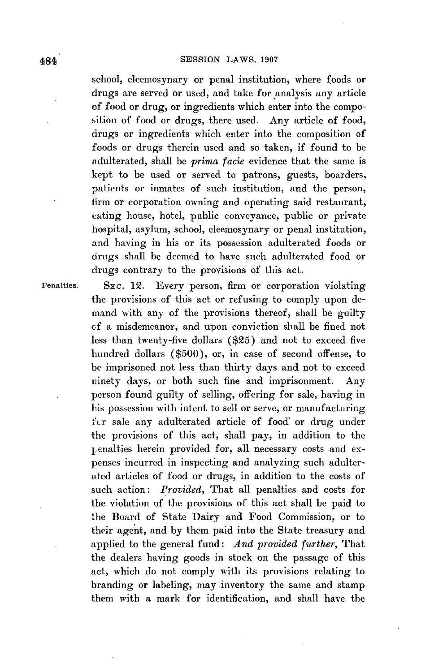school, eleemosynary or penal institution, where foods or drugs are served or used, and take for analysis any article of food or drug, or ingredients which enter into the composition of food or drugs, there used. Any article of food, drugs or ingredients which enter into the composition of foods or drugs therein used and so taken, if found to be adulterated, shall be *prima facie* evidence that the same is kept to be used or served to patrons, guests, boarders, patients or inmates of such institution, and the person, firm or corporation owning and operating said restaurant, eating house, hotel, public conveyance, public or private hospital, asylum, school, eleemosynary or penal institution, and having in his or its possession adulterated foods or drugs shall be deemed to have such adulterated food or drugs contrary to the provisions of this act.

Penalties. **SEC.** 12. Every person, firm or corporation violating the provisions of this act or refusing to comply upon demand with any of the provisions thereof, shall be guilty cf a misdemeanor, and upon conviction shall be fined not less than twenty-five dollars **(\$25)** and not to exceed five hundred dollars **(\$500),** or, in case of second offense, to be imprisoned not less than thirty days and not to exceed ninety days, or both such fine and imprisonment. Any person found guilty of selling, offering for sale, having in his possession with intent to sell or serve, or manufacturing fir sale any adulterated article of food' or drug under the provisions of this act, shall pay, in addition to the penalties herein provided for, all necessary costs and expenses incurred in inspecting and analyzing such adulterated articles of food or drugs, in addition to the costs of such action: *Provided,* That all penalties and costs for the violation of the provisions of this act shall be paid to the Board of State Dairy and Food Commission, or to their agent, and **by** them paid into the State treasury and applied to the general fund: *And provided further,* That the dealers having goods in stock on the passage of this act, which do not comply with its provisions relating to branding or labeling, may inventory the same and stamp them with a mark for identification, and shall have the